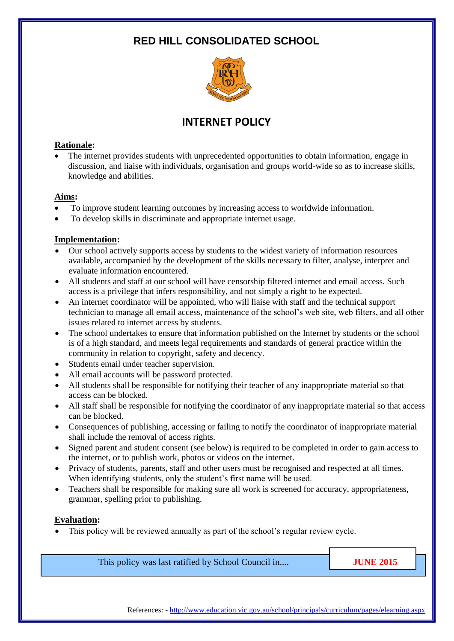# **RED HILL CONSOLIDATED SCHOOL**



# **INTERNET POLICY**

### **Rationale:**

• The internet provides students with unprecedented opportunities to obtain information, engage in discussion, and liaise with individuals, organisation and groups world-wide so as to increase skills, knowledge and abilities.

#### **Aims:**

- To improve student learning outcomes by increasing access to worldwide information.
- To develop skills in discriminate and appropriate internet usage.

### **Implementation:**

- Our school actively supports access by students to the widest variety of information resources available, accompanied by the development of the skills necessary to filter, analyse, interpret and evaluate information encountered.
- All students and staff at our school will have censorship filtered internet and email access. Such access is a privilege that infers responsibility, and not simply a right to be expected.
- An internet coordinator will be appointed, who will liaise with staff and the technical support technician to manage all email access, maintenance of the school's web site, web filters, and all other issues related to internet access by students.
- The school undertakes to ensure that information published on the Internet by students or the school is of a high standard, and meets legal requirements and standards of general practice within the community in relation to copyright, safety and decency.
- Students email under teacher supervision.
- All email accounts will be password protected.
- All students shall be responsible for notifying their teacher of any inappropriate material so that access can be blocked.
- All staff shall be responsible for notifying the coordinator of any inappropriate material so that access can be blocked.
- Consequences of publishing, accessing or failing to notify the coordinator of inappropriate material shall include the removal of access rights.
- Signed parent and student consent (see below) is required to be completed in order to gain access to the internet, or to publish work, photos or videos on the internet.
- Privacy of students, parents, staff and other users must be recognised and respected at all times. When identifying students, only the student's first name will be used.
- Teachers shall be responsible for making sure all work is screened for accuracy, appropriateness, grammar, spelling prior to publishing.

### **Evaluation:**

• This policy will be reviewed annually as part of the school's regular review cycle.

This policy was last ratified by School Council in.... **JUNE 2015** 

References: - <http://www.education.vic.gov.au/school/principals/curriculum/pages/elearning.aspx>